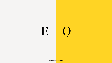

Accommodation schedule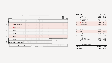| Level                | <b>Use</b>                                                                              | sq ft                                   | S(                             |
|----------------------|-----------------------------------------------------------------------------------------|-----------------------------------------|--------------------------------|
| $\overline{7}$       | Office<br>Restaurant/bar<br><b>Communal terrace</b><br>Office terrace                   | 17,911<br>3,419<br>3,864<br>945         | 1,663<br>317<br>358<br>87      |
| 6                    | <b>P</b> paymentsense<br>beyond ordinary                                                | 27,385                                  | 2,544                          |
| 5                    | <b>P</b> paymentsense<br>beyond ordinary                                                | 27,382                                  | 2,543                          |
| 4                    | Office                                                                                  | 27,382                                  | 2,543                          |
| 3                    | Office                                                                                  | 27,382                                  | 2,543                          |
| $\overline{2}$       | <b>ARUP</b>                                                                             | 27,377                                  | 2,543                          |
| 1                    | Office                                                                                  | 22,142                                  | 2,057                          |
| $\overline{0}$       | Office<br>Reception<br>Fitness studio<br>Café/business lounge<br>Auditorium event space | 7,548<br>4,074<br>1,389<br>6,145<br>937 | 701<br>378<br>129<br>570<br>87 |
| $-1$                 | Cycle park x263<br>EV car parking spaces x32                                            |                                         |                                |
| <b>Total office</b>  |                                                                                         | 185,509                                 | 17,140                         |
| <b>Total amenity</b> |                                                                                         | 19,827                                  | 1,841                          |